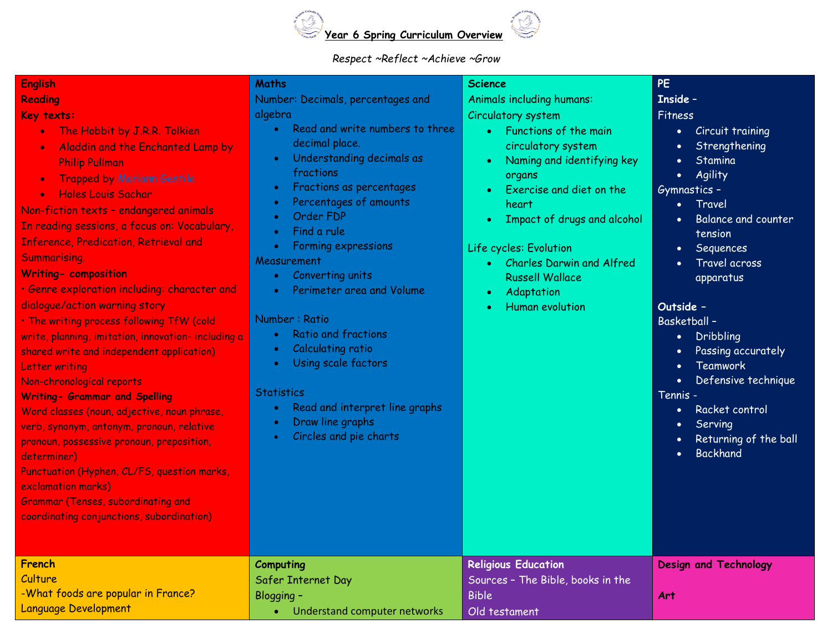

## *Respect ~Reflect ~Achieve ~Grow*

| <b>English</b>                                                                                                                                                                                                                                                                                                                                                                                                                                                                                                                                                                                                                                                                                                                                                                                                                                                                                                                                                                                                                                                          | Maths                                                                                                                                                                                                                                                                                                                                                                                                                                                                                                                              | <b>Science</b>                                                                                                                                                                                                                                                                                                             | <b>PE</b>                                                                                                                                                                                                                                                                                                                                                                                                                                                                                                                                                                                      |
|-------------------------------------------------------------------------------------------------------------------------------------------------------------------------------------------------------------------------------------------------------------------------------------------------------------------------------------------------------------------------------------------------------------------------------------------------------------------------------------------------------------------------------------------------------------------------------------------------------------------------------------------------------------------------------------------------------------------------------------------------------------------------------------------------------------------------------------------------------------------------------------------------------------------------------------------------------------------------------------------------------------------------------------------------------------------------|------------------------------------------------------------------------------------------------------------------------------------------------------------------------------------------------------------------------------------------------------------------------------------------------------------------------------------------------------------------------------------------------------------------------------------------------------------------------------------------------------------------------------------|----------------------------------------------------------------------------------------------------------------------------------------------------------------------------------------------------------------------------------------------------------------------------------------------------------------------------|------------------------------------------------------------------------------------------------------------------------------------------------------------------------------------------------------------------------------------------------------------------------------------------------------------------------------------------------------------------------------------------------------------------------------------------------------------------------------------------------------------------------------------------------------------------------------------------------|
| Reading                                                                                                                                                                                                                                                                                                                                                                                                                                                                                                                                                                                                                                                                                                                                                                                                                                                                                                                                                                                                                                                                 | Number: Decimals, percentages and                                                                                                                                                                                                                                                                                                                                                                                                                                                                                                  | <b>Animals including humans:</b>                                                                                                                                                                                                                                                                                           | <b>Inside -</b>                                                                                                                                                                                                                                                                                                                                                                                                                                                                                                                                                                                |
| Key texts:<br>The Hobbit by J.R.R. Tolkien<br>$\bullet$<br>Aladdin and the Enchanted Lamp by<br>$\bullet$<br><b>Philip Pullman</b><br><b>Trapped by Mariann Gentile</b><br>$\bullet$<br><b>Holes Louis Sachar</b><br>$\bullet$<br>Non-fiction texts - endangered animals<br>In reading sessions, a focus on: Vocabulary,<br><b>Inference, Predication, Retrieval and</b><br>Summarising.<br><b>Writing- composition</b><br>· Genre exploration including: character and<br>dialogue/action warning story<br>. The writing process following TfW (cold<br>write, planning, imitation, innovation- including a<br>shared write and independent application)<br>Letter writing<br>Non-chronological reports<br><b>Writing- Grammar and Spelling</b><br>Word classes (noun, adjective, noun phrase,<br>verb, synonym, antonym, pronoun, relative<br>pronoun, possessive pronoun, preposition,<br>determiner)<br>Punctuation (Hyphen, CL/FS, question marks,<br>exclamation marks)<br><b>Grammar (Tenses, subordinating and</b><br>coordinating conjunctions, subordination) | algebra<br>Read and write numbers to three<br>$\bullet$<br>decimal place.<br>Understanding decimals as<br>fractions<br>Fractions as percentages<br>Percentages of amounts<br>Order FDP<br>Find a rule<br>$\bullet$<br>Forming expressions<br>۰<br>Measurement<br>Converting units<br>Perimeter area and Volume<br>Number: Ratio<br><b>Ratio and fractions</b><br><b>Calculating ratio</b><br>$\bullet$<br>Using scale factors<br><b>Statistics</b><br>Read and interpret line graphs<br>Draw line graphs<br>Circles and pie charts | Circulatory system<br>Functions of the main<br>circulatory system<br>Naming and identifying key<br>organs<br>Exercise and diet on the<br>heart<br>Impact of drugs and alcohol<br>Life cycles: Evolution<br><b>Charles Darwin and Alfred</b><br><b>Russell Wallace</b><br>Adaptation<br>$\bullet$<br><b>Human evolution</b> | Fitness<br>Circuit training<br>$\bullet$<br>Strengthening<br>$\bullet$<br>Stamina<br>$\bullet$<br>Agility<br>$\bullet$<br>Gymnastics -<br>Travel<br>$\bullet$<br><b>Balance and counter</b><br>$\bullet$<br>tension<br>Sequences<br>$\bullet$<br>Travel across<br>$\bullet$<br>apparatus<br>Outside -<br><b>Basketball-</b><br>Dribbling<br>$\bullet$<br>Passing accurately<br>$\bullet$<br>Teamwork<br>$\bullet$<br>Defensive technique<br>$\bullet$<br>Tennis -<br>Racket control<br>$\bullet$<br>Serving<br>$\bullet$<br>Returning of the ball<br>$\bullet$<br><b>Backhand</b><br>$\bullet$ |
| French<br>Culture<br>-What foods are popular in France?                                                                                                                                                                                                                                                                                                                                                                                                                                                                                                                                                                                                                                                                                                                                                                                                                                                                                                                                                                                                                 | Computing<br>Safer Internet Day<br>Blogging -                                                                                                                                                                                                                                                                                                                                                                                                                                                                                      | <b>Religious Education</b><br>Sources - The Bible, books in the<br><b>Bible</b>                                                                                                                                                                                                                                            | <b>Design and Technology</b><br>Art                                                                                                                                                                                                                                                                                                                                                                                                                                                                                                                                                            |
| <b>Language Development</b>                                                                                                                                                                                                                                                                                                                                                                                                                                                                                                                                                                                                                                                                                                                                                                                                                                                                                                                                                                                                                                             | Understand computer networks<br>$\bullet$                                                                                                                                                                                                                                                                                                                                                                                                                                                                                          | Old testament                                                                                                                                                                                                                                                                                                              |                                                                                                                                                                                                                                                                                                                                                                                                                                                                                                                                                                                                |